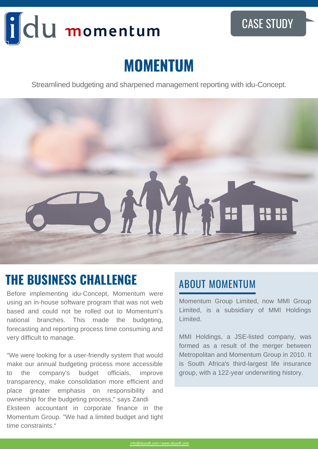# idu momentum

#### CASE STUDY

## **MOMENTUM**

Streamlined budgeting and sharpened management reporting with idu-Concept.



### ABOUT MOMENTUM **THE BUSINESS CHALLENGE**

Before implementing idu-Concept, Momentum were using an in-house software program that was not web based and could not be rolled out to Momentum's national branches. This made the budgeting, forecasting and reporting process time consuming and very difficult to manage.

"We were looking for a user-friendly system that would make our annual budgeting process more accessible to the company's budget officials, improve transparency, make consolidation more efficient and place greater emphasis on responsibility and ownership for the budgeting process," says Zandi Eksteen accountant in corporate finance in the Momentum Group. "We had a limited budget and tight time constraints."

Momentum Group Limited, now MMI Group Limited, is a subsidiary of MMI Holdings Limited.

MMI Holdings, a JSE-listed company, was formed as a result of the merger between Metropolitan and Momentum Group in 2010. It is South Africa's third-largest life insurance group, with a 122-year underwriting history.